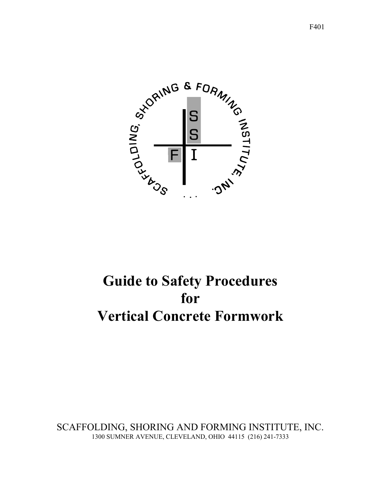

# **Guide to Safety Procedures for Vertical Concrete Formwork**

SCAFFOLDING, SHORING AND FORMING INSTITUTE, INC. 1300 SUMNER AVENUE, CLEVELAND, OHIO 44115 (216) 241-7333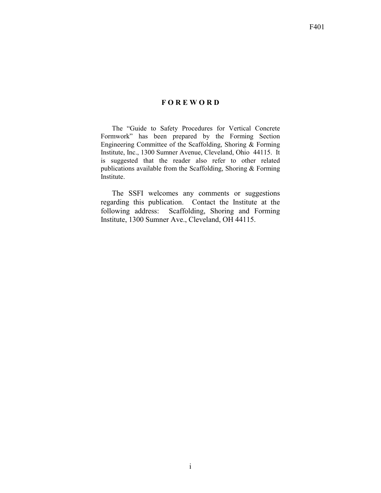### **F O R E W O R D**

The "Guide to Safety Procedures for Vertical Concrete Formwork" has been prepared by the Forming Section Engineering Committee of the Scaffolding, Shoring  $\&$  Forming Institute, Inc., 1300 Sumner Avenue, Cleveland, Ohio 44115. It is suggested that the reader also refer to other related publications available from the Scaffolding, Shoring & Forming Institute.

The SSFI welcomes any comments or suggestions regarding this publication. Contact the Institute at the following address: Scaffolding, Shoring and Forming Institute, 1300 Sumner Ave., Cleveland, OH 44115.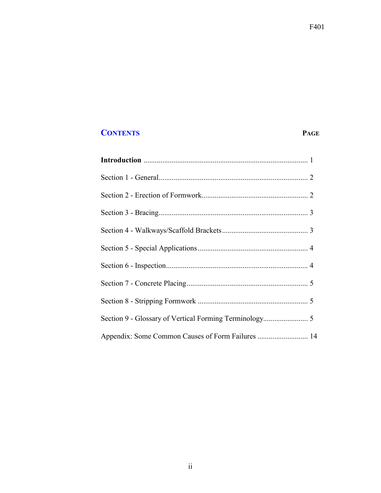## **CONTENTS PAGE**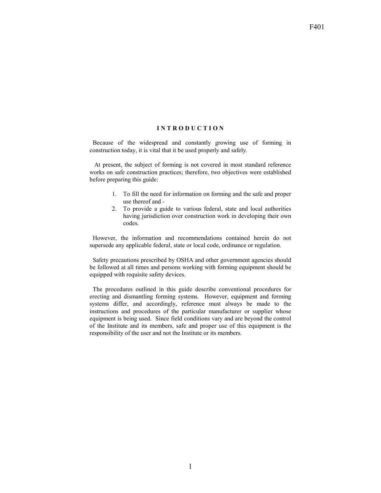#### **I N T R O D U C T I O N**

 Because of the widespread and constantly growing use of forming in construction today, it is vital that it be used properly and safely.

 At present, the subject of forming is not covered in most standard reference works on safe construction practices; therefore, two objectives were established before preparing this guide:

- 1. To fill the need for information on forming and the safe and proper use thereof and -
- 2. To provide a guide to various federal, state and local authorities having jurisdiction over construction work in developing their own codes.

 However, the information and recommendations contained herein do not supersede any applicable federal, state or local code, ordinance or regulation.

 Safety precautions prescribed by OSHA and other government agencies should be followed at all times and persons working with forming equipment should be equipped with requisite safety devices.

 The procedures outlined in this guide describe conventional procedures for erecting and dismantling forming systems. However, equipment and forming systems differ, and accordingly, reference must always be made to the instructions and procedures of the particular manufacturer or supplier whose equipment is being used. Since field conditions vary and are beyond the control of the Institute and its members, safe and proper use of this equipment is the responsibility of the user and not the Institute or its members.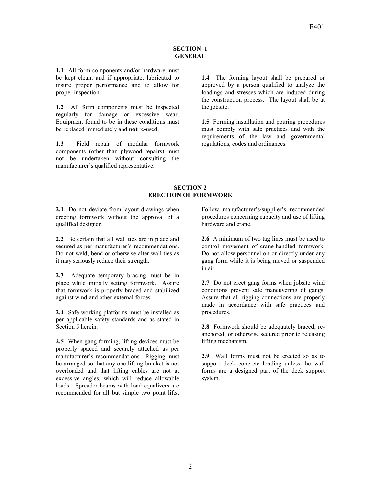#### **SECTION 1 GENERAL**

**1.1** All form components and/or hardware must be kept clean, and if appropriate, lubricated to insure proper performance and to allow for proper inspection.

**1.2** All form components must be inspected regularly for damage or excessive wear. Equipment found to be in these conditions must be replaced immediately and **not** re-used.

**1.3** Field repair of modular formwork components (other than plywood repairs) must not be undertaken without consulting the manufacturer's qualified representative.

**1.4** The forming layout shall be prepared or approved by a person qualified to analyze the loadings and stresses which are induced during the construction process. The layout shall be at the jobsite.

**1.5** Forming installation and pouring procedures must comply with safe practices and with the requirements of the law and governmental regulations, codes and ordinances.

#### **SECTION 2 ERECTION OF FORMWORK**

**2.1** Do not deviate from layout drawings when erecting formwork without the approval of a qualified designer.

**2.2** Be certain that all wall ties are in place and secured as per manufacturer's recommendations. Do not weld, bend or otherwise alter wall ties as it may seriously reduce their strength.

**2.3** Adequate temporary bracing must be in place while initially setting formwork. Assure that formwork is properly braced and stabilized against wind and other external forces.

**2.4** Safe working platforms must be installed as per applicable safety standards and as stated in Section 5 herein.

**2.5** When gang forming, lifting devices must be properly spaced and securely attached as per manufacturer's recommendations. Rigging must be arranged so that any one lifting bracket is not overloaded and that lifting cables are not at excessive angles, which will reduce allowable loads. Spreader beams with load equalizers are recommended for all but simple two point lifts.

Follow manufacturer's/supplier's recommended procedures concerning capacity and use of lifting hardware and crane.

**2.6** A minimum of two tag lines must be used to control movement of crane-handled formwork. Do not allow personnel on or directly under any gang form while it is being moved or suspended in air.

**2.7** Do not erect gang forms when jobsite wind conditions prevent safe maneuvering of gangs. Assure that all rigging connections are properly made in accordance with safe practices and procedures.

**2.8** Formwork should be adequately braced, reanchored, or otherwise secured prior to releasing lifting mechanism.

**2.9** Wall forms must not be erected so as to support deck concrete loading unless the wall forms are a designed part of the deck support system.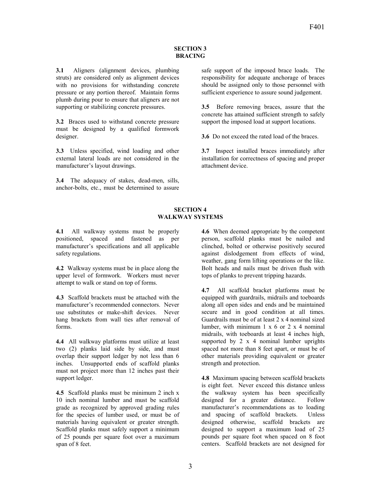#### **SECTION 3 BRACING**

**3.1** Aligners (alignment devices, plumbing struts) are considered only as alignment devices with no provisions for withstanding concrete pressure or any portion thereof. Maintain forms plumb during pour to ensure that aligners are not supporting or stabilizing concrete pressures.

**3.2** Braces used to withstand concrete pressure must be designed by a qualified formwork designer.

**3.3** Unless specified, wind loading and other external lateral loads are not considered in the manufacturer's layout drawings.

**3.4** The adequacy of stakes, dead-men, sills, anchor-bolts, etc., must be determined to assure safe support of the imposed brace loads. The responsibility for adequate anchorage of braces should be assigned only to those personnel with sufficient experience to assure sound judgement.

**3.5** Before removing braces, assure that the concrete has attained sufficient strength to safely support the imposed load at support locations.

**3.6** Do not exceed the rated load of the braces.

**3.7** Inspect installed braces immediately after installation for correctness of spacing and proper attachment device.

#### **SECTION 4 WALKWAY SYSTEMS**

**4.1** All walkway systems must be properly positioned, spaced and fastened as per manufacturer's specifications and all applicable safety regulations.

**4.2** Walkway systems must be in place along the upper level of formwork. Workers must never attempt to walk or stand on top of forms.

**4.3** Scaffold brackets must be attached with the manufacturer's recommended connectors. Never use substitutes or make-shift devices. Never hang brackets from wall ties after removal of forms.

**4.4** All walkway platforms must utilize at least two (2) planks laid side by side, and must overlap their support ledger by not less than 6 inches. Unsupported ends of scaffold planks must not project more than 12 inches past their support ledger.

**4.5** Scaffold planks must be minimum 2 inch x 10 inch nominal lumber and must be scaffold grade as recognized by approved grading rules for the species of lumber used, or must be of materials having equivalent or greater strength. Scaffold planks must safely support a minimum of 25 pounds per square foot over a maximum span of 8 feet.

**4.6** When deemed appropriate by the competent person, scaffold planks must be nailed and clinched, bolted or otherwise positively secured against dislodgement from effects of wind, weather, gang form lifting operations or the like. Bolt heads and nails must be driven flush with tops of planks to prevent tripping hazards.

**4.7** All scaffold bracket platforms must be equipped with guardrails, midrails and toeboards along all open sides and ends and be maintained secure and in good condition at all times. Guardrails must be of at least 2 x 4 nominal sized lumber, with minimum  $1 \times 6$  or  $2 \times 4$  nominal midrails, with toeboards at least 4 inches high, supported by 2 x 4 nominal lumber uprights spaced not more than 8 feet apart, or must be of other materials providing equivalent or greater strength and protection.

**4.8** Maximum spacing between scaffold brackets is eight feet. Never exceed this distance unless the walkway system has been specifically designed for a greater distance. Follow manufacturer's recommendations as to loading and spacing of scaffold brackets. Unless designed otherwise, scaffold brackets are designed to support a maximum load of 25 pounds per square foot when spaced on 8 foot centers. Scaffold brackets are not designed for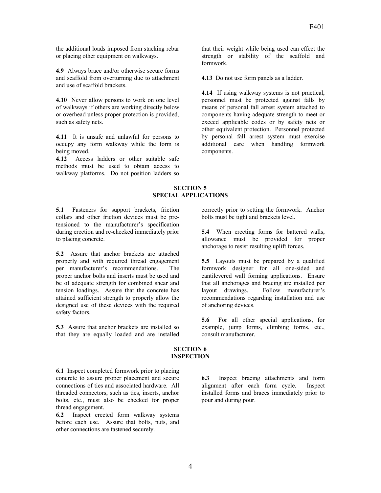the additional loads imposed from stacking rebar or placing other equipment on walkways.

**4.9** Always brace and/or otherwise secure forms and scaffold from overturning due to attachment and use of scaffold brackets.

**4.10** Never allow persons to work on one level of walkways if others are working directly below or overhead unless proper protection is provided, such as safety nets.

**4.11** It is unsafe and unlawful for persons to occupy any form walkway while the form is being moved.

**4.12** Access ladders or other suitable safe methods must be used to obtain access to walkway platforms. Do not position ladders so that their weight while being used can effect the strength or stability of the scaffold and formwork.

**4.13** Do not use form panels as a ladder.

**4.14** If using walkway systems is not practical, personnel must be protected against falls by means of personal fall arrest system attached to components having adequate strength to meet or exceed applicable codes or by safety nets or other equivalent protection. Personnel protected by personal fall arrest system must exercise additional care when handling formwork components.

#### **SECTION 5 SPECIAL APPLICATIONS**

**5.1** Fasteners for support brackets, friction collars and other friction devices must be pretensioned to the manufacturer's specification during erection and re-checked immediately prior to placing concrete.

**5.2** Assure that anchor brackets are attached properly and with required thread engagement per manufacturer's recommendations. The proper anchor bolts and inserts must be used and be of adequate strength for combined shear and tension loadings. Assure that the concrete has attained sufficient strength to properly allow the designed use of these devices with the required safety factors.

**5.3** Assure that anchor brackets are installed so that they are equally loaded and are installed

correctly prior to setting the formwork. Anchor bolts must be tight and brackets level.

**5.4** When erecting forms for battered walls, allowance must be provided for proper anchorage to resist resulting uplift forces.

**5.5** Layouts must be prepared by a qualified formwork designer for all one-sided and cantilevered wall forming applications. Ensure that all anchorages and bracing are installed per layout drawings. Follow manufacturer's recommendations regarding installation and use of anchoring devices.

**5.6** For all other special applications, for example, jump forms, climbing forms, etc., consult manufacturer.

#### **SECTION 6 INSPECTION**

**6.1** Inspect completed formwork prior to placing concrete to assure proper placement and secure connections of ties and associated hardware. All threaded connectors, such as ties, inserts, anchor bolts, etc., must also be checked for proper thread engagement.

**6.2** Inspect erected form walkway systems before each use. Assure that bolts, nuts, and other connections are fastened securely.

**6.3** Inspect bracing attachments and form alignment after each form cycle. Inspect installed forms and braces immediately prior to pour and during pour.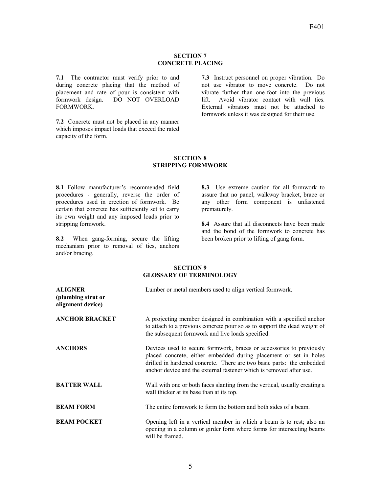#### **SECTION 7 CONCRETE PLACING**

**7.1** The contractor must verify prior to and during concrete placing that the method of placement and rate of pour is consistent with formwork design. DO NOT OVERLOAD FORMWORK.

**7.2** Concrete must not be placed in any manner which imposes impact loads that exceed the rated capacity of the form.

**7.3** Instruct personnel on proper vibration. Do not use vibrator to move concrete. Do not vibrate further than one-foot into the previous lift. Avoid vibrator contact with wall ties. External vibrators must not be attached to formwork unless it was designed for their use.

#### **SECTION 8 STRIPPING FORMWORK**

**8.1** Follow manufacturer's recommended field procedures - generally, reverse the order of procedures used in erection of formwork. Be certain that concrete has sufficiently set to carry its own weight and any imposed loads prior to stripping formwork.

**8.2** When gang-forming, secure the lifting mechanism prior to removal of ties, anchors and/or bracing.

**8.3** Use extreme caution for all formwork to assure that no panel, walkway bracket, brace or any other form component is unfastened prematurely.

**8.4** Assure that all disconnects have been made and the bond of the formwork to concrete has been broken prior to lifting of gang form.

#### **SECTION 9 GLOSSARY OF TERMINOLOGY**

| <b>ALIGNER</b><br>(plumbing strut or<br>alignment device) | Lumber or metal members used to align vertical formwork.                                                                                                                                                                                                                                  |
|-----------------------------------------------------------|-------------------------------------------------------------------------------------------------------------------------------------------------------------------------------------------------------------------------------------------------------------------------------------------|
| <b>ANCHOR BRACKET</b>                                     | A projecting member designed in combination with a specified anchor<br>to attach to a previous concrete pour so as to support the dead weight of<br>the subsequent formwork and live loads specified.                                                                                     |
| <b>ANCHORS</b>                                            | Devices used to secure formwork, braces or accessories to previously<br>placed concrete, either embedded during placement or set in holes<br>drilled in hardened concrete. There are two basic parts: the embedded<br>anchor device and the external fastener which is removed after use. |
| <b>BATTER WALL</b>                                        | Wall with one or both faces slanting from the vertical, usually creating a<br>wall thicker at its base than at its top.                                                                                                                                                                   |
| <b>BEAM FORM</b>                                          | The entire formwork to form the bottom and both sides of a beam.                                                                                                                                                                                                                          |
| <b>BEAM POCKET</b>                                        | Opening left in a vertical member in which a beam is to rest; also an<br>opening in a column or girder form where forms for intersecting beams<br>will be framed.                                                                                                                         |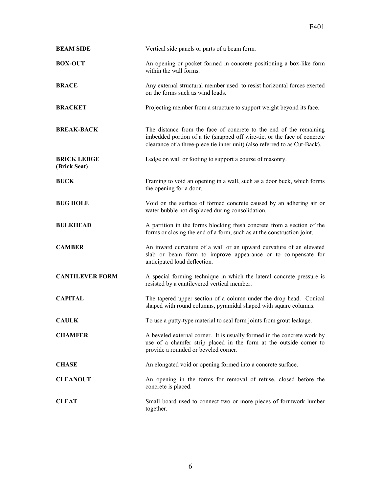| <b>BEAM SIDE</b>                   | Vertical side panels or parts of a beam form.                                                                                                                                                                                |
|------------------------------------|------------------------------------------------------------------------------------------------------------------------------------------------------------------------------------------------------------------------------|
| <b>BOX-OUT</b>                     | An opening or pocket formed in concrete positioning a box-like form<br>within the wall forms.                                                                                                                                |
| <b>BRACE</b>                       | Any external structural member used to resist horizontal forces exerted<br>on the forms such as wind loads.                                                                                                                  |
| <b>BRACKET</b>                     | Projecting member from a structure to support weight beyond its face.                                                                                                                                                        |
| <b>BREAK-BACK</b>                  | The distance from the face of concrete to the end of the remaining<br>imbedded portion of a tie (snapped off wire-tie, or the face of concrete<br>clearance of a three-piece tie inner unit) (also referred to as Cut-Back). |
| <b>BRICK LEDGE</b><br>(Brick Seat) | Ledge on wall or footing to support a course of masonry.                                                                                                                                                                     |
| <b>BUCK</b>                        | Framing to void an opening in a wall, such as a door buck, which forms<br>the opening for a door.                                                                                                                            |
| <b>BUG HOLE</b>                    | Void on the surface of formed concrete caused by an adhering air or<br>water bubble not displaced during consolidation.                                                                                                      |
| <b>BULKHEAD</b>                    | A partition in the forms blocking fresh concrete from a section of the<br>forms or closing the end of a form, such as at the construction joint.                                                                             |
| <b>CAMBER</b>                      | An inward curvature of a wall or an upward curvature of an elevated<br>slab or beam form to improve appearance or to compensate for<br>anticipated load deflection.                                                          |
| <b>CANTILEVER FORM</b>             | A special forming technique in which the lateral concrete pressure is<br>resisted by a cantilevered vertical member.                                                                                                         |
| <b>CAPITAL</b>                     | The tapered upper section of a column under the drop head. Conical<br>shaped with round columns, pyramidal shaped with square columns.                                                                                       |
| CAULK                              | To use a putty-type material to seal form joints from grout leakage.                                                                                                                                                         |
| <b>CHAMFER</b>                     | A beveled external corner. It is usually formed in the concrete work by<br>use of a chamfer strip placed in the form at the outside corner to<br>provide a rounded or beveled corner.                                        |
| <b>CHASE</b>                       | An elongated void or opening formed into a concrete surface.                                                                                                                                                                 |
| <b>CLEANOUT</b>                    | An opening in the forms for removal of refuse, closed before the<br>concrete is placed.                                                                                                                                      |
| <b>CLEAT</b>                       | Small board used to connect two or more pieces of formwork lumber<br>together.                                                                                                                                               |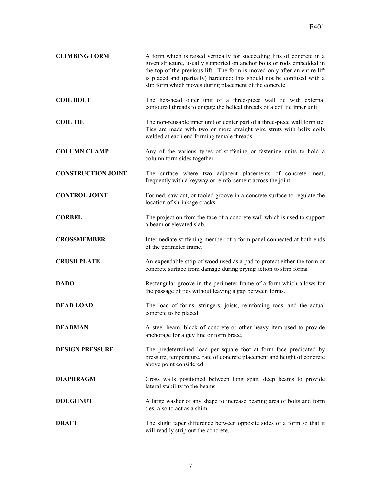| <b>CLIMBING FORM</b>      | A form which is raised vertically for succeeding lifts of concrete in a<br>given structure, usually supported on anchor bolts or rods embedded in<br>the top of the previous lift. The form is moved only after an entire lift<br>is placed and (partially) hardened; this should not be confused with a<br>slip form which moves during placement of the concrete. |
|---------------------------|---------------------------------------------------------------------------------------------------------------------------------------------------------------------------------------------------------------------------------------------------------------------------------------------------------------------------------------------------------------------|
| <b>COIL BOLT</b>          | The hex-head outer unit of a three-piece wall tie with external<br>contoured threads to engage the helical threads of a coil tie inner unit.                                                                                                                                                                                                                        |
| <b>COIL TIE</b>           | The non-reusable inner unit or center part of a three-piece wall form tie.<br>Ties are made with two or more straight wire struts with helix coils<br>welded at each end forming female threads.                                                                                                                                                                    |
| <b>COLUMN CLAMP</b>       | Any of the various types of stiffening or fastening units to hold a<br>column form sides together.                                                                                                                                                                                                                                                                  |
| <b>CONSTRUCTION JOINT</b> | The surface where two adjacent placements of concrete meet,<br>frequently with a keyway or reinforcement across the joint.                                                                                                                                                                                                                                          |
| <b>CONTROL JOINT</b>      | Formed, saw cut, or tooled groove in a concrete surface to regulate the<br>location of shrinkage cracks.                                                                                                                                                                                                                                                            |
| <b>CORBEL</b>             | The projection from the face of a concrete wall which is used to support<br>a beam or elevated slab.                                                                                                                                                                                                                                                                |
| <b>CROSSMEMBER</b>        | Intermediate stiffening member of a form panel connected at both ends<br>of the perimeter frame.                                                                                                                                                                                                                                                                    |
| <b>CRUSH PLATE</b>        | An expendable strip of wood used as a pad to protect either the form or<br>concrete surface from damage during prying action to strip forms.                                                                                                                                                                                                                        |
| <b>DADO</b>               | Rectangular groove in the perimeter frame of a form which allows for<br>the passage of ties without leaving a gap between forms.                                                                                                                                                                                                                                    |
| <b>DEAD LOAD</b>          | The load of forms, stringers, joists, reinforcing rods, and the actual<br>concrete to be placed.                                                                                                                                                                                                                                                                    |
| <b>DEADMAN</b>            | A steel beam, block of concrete or other heavy item used to provide<br>anchorage for a guy line or form brace.                                                                                                                                                                                                                                                      |
| <b>DESIGN PRESSURE</b>    | The predetermined load per square foot at form face predicated by<br>pressure, temperature, rate of concrete placement and height of concrete<br>above point considered.                                                                                                                                                                                            |
| <b>DIAPHRAGM</b>          | Cross walls positioned between long span, deep beams to provide<br>lateral stability to the beams.                                                                                                                                                                                                                                                                  |
| <b>DOUGHNUT</b>           | A large washer of any shape to increase bearing area of bolts and form<br>ties, also to act as a shim.                                                                                                                                                                                                                                                              |
| <b>DRAFT</b>              | The slight taper difference between opposite sides of a form so that it<br>will readily strip out the concrete.                                                                                                                                                                                                                                                     |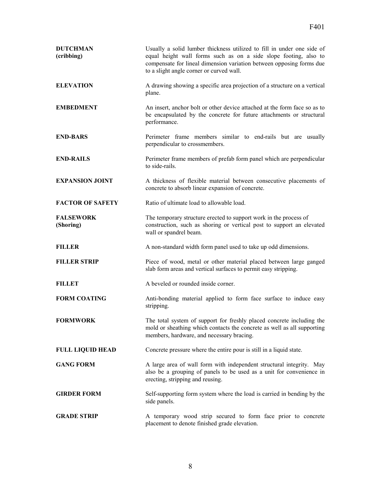| <b>DUTCHMAN</b><br>(cribbing) | Usually a solid lumber thickness utilized to fill in under one side of<br>equal height wall forms such as on a side slope footing, also to<br>compensate for lineal dimension variation between opposing forms due<br>to a slight angle corner or curved wall. |
|-------------------------------|----------------------------------------------------------------------------------------------------------------------------------------------------------------------------------------------------------------------------------------------------------------|
| <b>ELEVATION</b>              | A drawing showing a specific area projection of a structure on a vertical<br>plane.                                                                                                                                                                            |
| <b>EMBEDMENT</b>              | An insert, anchor bolt or other device attached at the form face so as to<br>be encapsulated by the concrete for future attachments or structural<br>performance.                                                                                              |
| <b>END-BARS</b>               | Perimeter frame members similar to end-rails but are usually<br>perpendicular to crossmembers.                                                                                                                                                                 |
| <b>END-RAILS</b>              | Perimeter frame members of prefab form panel which are perpendicular<br>to side-rails.                                                                                                                                                                         |
| <b>EXPANSION JOINT</b>        | A thickness of flexible material between consecutive placements of<br>concrete to absorb linear expansion of concrete.                                                                                                                                         |
| <b>FACTOR OF SAFETY</b>       | Ratio of ultimate load to allowable load.                                                                                                                                                                                                                      |
| <b>FALSEWORK</b><br>(Shoring) | The temporary structure erected to support work in the process of<br>construction, such as shoring or vertical post to support an elevated<br>wall or spandrel beam.                                                                                           |
| <b>FILLER</b>                 | A non-standard width form panel used to take up odd dimensions.                                                                                                                                                                                                |
| <b>FILLER STRIP</b>           | Piece of wood, metal or other material placed between large ganged<br>slab form areas and vertical surfaces to permit easy stripping.                                                                                                                          |
| <b>FILLET</b>                 | A beveled or rounded inside corner.                                                                                                                                                                                                                            |
| <b>FORM COATING</b>           | Anti-bonding material applied to form face surface to induce easy<br>stripping.                                                                                                                                                                                |
| <b>FORMWORK</b>               | The total system of support for freshly placed concrete including the<br>mold or sheathing which contacts the concrete as well as all supporting<br>members, hardware, and necessary bracing.                                                                  |
| <b>FULL LIQUID HEAD</b>       | Concrete pressure where the entire pour is still in a liquid state.                                                                                                                                                                                            |
| <b>GANG FORM</b>              | A large area of wall form with independent structural integrity. May<br>also be a grouping of panels to be used as a unit for convenience in<br>erecting, stripping and reusing.                                                                               |
| <b>GIRDER FORM</b>            | Self-supporting form system where the load is carried in bending by the<br>side panels.                                                                                                                                                                        |
| <b>GRADE STRIP</b>            | A temporary wood strip secured to form face prior to concrete<br>placement to denote finished grade elevation.                                                                                                                                                 |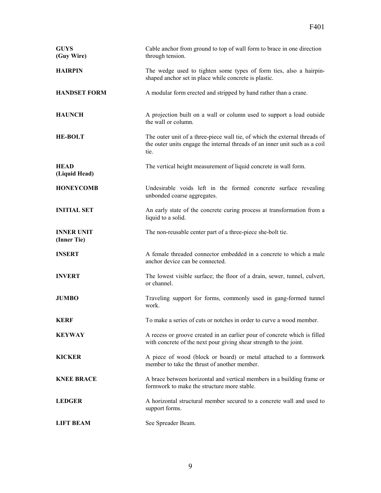| <b>GUYS</b><br>(Guy Wire)        | Cable anchor from ground to top of wall form to brace in one direction<br>through tension.                                                                        |
|----------------------------------|-------------------------------------------------------------------------------------------------------------------------------------------------------------------|
| <b>HAIRPIN</b>                   | The wedge used to tighten some types of form ties, also a hairpin-<br>shaped anchor set in place while concrete is plastic.                                       |
| <b>HANDSET FORM</b>              | A modular form erected and stripped by hand rather than a crane.                                                                                                  |
| <b>HAUNCH</b>                    | A projection built on a wall or column used to support a load outside<br>the wall or column.                                                                      |
| <b>HE-BOLT</b>                   | The outer unit of a three-piece wall tie, of which the external threads of<br>the outer units engage the internal threads of an inner unit such as a coil<br>tie. |
| <b>HEAD</b><br>(Liquid Head)     | The vertical height measurement of liquid concrete in wall form.                                                                                                  |
| <b>HONEYCOMB</b>                 | Undesirable voids left in the formed concrete surface revealing<br>unbonded coarse aggregates.                                                                    |
| <b>INITIAL SET</b>               | An early state of the concrete curing process at transformation from a<br>liquid to a solid.                                                                      |
| <b>INNER UNIT</b><br>(Inner Tie) | The non-reusable center part of a three-piece she-bolt tie.                                                                                                       |
| <b>INSERT</b>                    | A female threaded connector embedded in a concrete to which a male<br>anchor device can be connected.                                                             |
| <b>INVERT</b>                    | The lowest visible surface; the floor of a drain, sewer, tunnel, culvert,<br>or channel.                                                                          |
| <b>JUMBO</b>                     | Traveling support for forms, commonly used in gang-formed tunnel<br>work.                                                                                         |
| <b>KERF</b>                      | To make a series of cuts or notches in order to curve a wood member.                                                                                              |
| <b>KEYWAY</b>                    | A recess or groove created in an earlier pour of concrete which is filled<br>with concrete of the next pour giving shear strength to the joint.                   |
| <b>KICKER</b>                    | A piece of wood (block or board) or metal attached to a formwork<br>member to take the thrust of another member.                                                  |
| <b>KNEE BRACE</b>                | A brace between horizontal and vertical members in a building frame or<br>formwork to make the structure more stable.                                             |
| <b>LEDGER</b>                    | A horizontal structural member secured to a concrete wall and used to<br>support forms.                                                                           |
| <b>LIFT BEAM</b>                 | See Spreader Beam.                                                                                                                                                |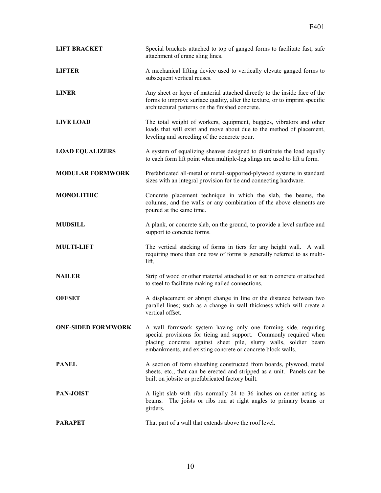| <b>LIFT BRACKET</b>       | Special brackets attached to top of ganged forms to facilitate fast, safe<br>attachment of crane sling lines.                                                                                                                                                         |
|---------------------------|-----------------------------------------------------------------------------------------------------------------------------------------------------------------------------------------------------------------------------------------------------------------------|
| LIFTER                    | A mechanical lifting device used to vertically elevate ganged forms to<br>subsequent vertical reuses.                                                                                                                                                                 |
| <b>LINER</b>              | Any sheet or layer of material attached directly to the inside face of the<br>forms to improve surface quality, alter the texture, or to imprint specific<br>architectural patterns on the finished concrete.                                                         |
| <b>LIVE LOAD</b>          | The total weight of workers, equipment, buggies, vibrators and other<br>loads that will exist and move about due to the method of placement,<br>leveling and screeding of the concrete pour.                                                                          |
| <b>LOAD EQUALIZERS</b>    | A system of equalizing sheaves designed to distribute the load equally<br>to each form lift point when multiple-leg slings are used to lift a form.                                                                                                                   |
| <b>MODULAR FORMWORK</b>   | Prefabricated all-metal or metal-supported-plywood systems in standard<br>sizes with an integral provision for tie and connecting hardware.                                                                                                                           |
| <b>MONOLITHIC</b>         | Concrete placement technique in which the slab, the beams, the<br>columns, and the walls or any combination of the above elements are<br>poured at the same time.                                                                                                     |
| <b>MUDSILL</b>            | A plank, or concrete slab, on the ground, to provide a level surface and<br>support to concrete forms.                                                                                                                                                                |
| <b>MULTI-LIFT</b>         | The vertical stacking of forms in tiers for any height wall. A wall<br>requiring more than one row of forms is generally referred to as multi-<br>lift.                                                                                                               |
| <b>NAILER</b>             | Strip of wood or other material attached to or set in concrete or attached<br>to steel to facilitate making nailed connections.                                                                                                                                       |
| <b>OFFSET</b>             | A displacement or abrupt change in line or the distance between two<br>parallel lines; such as a change in wall thickness which will create a<br>vertical offset.                                                                                                     |
| <b>ONE-SIDED FORMWORK</b> | A wall formwork system having only one forming side, requiring<br>special provisions for tieing and support. Commonly required when<br>placing concrete against sheet pile, slurry walls, soldier beam<br>embankments, and existing concrete or concrete block walls. |
| <b>PANEL</b>              | A section of form sheathing constructed from boards, plywood, metal<br>sheets, etc., that can be erected and stripped as a unit. Panels can be<br>built on jobsite or prefabricated factory built.                                                                    |
| PAN-JOIST                 | A light slab with ribs normally 24 to 36 inches on center acting as<br>The joists or ribs run at right angles to primary beams or<br>beams.<br>girders.                                                                                                               |
| <b>PARAPET</b>            | That part of a wall that extends above the roof level.                                                                                                                                                                                                                |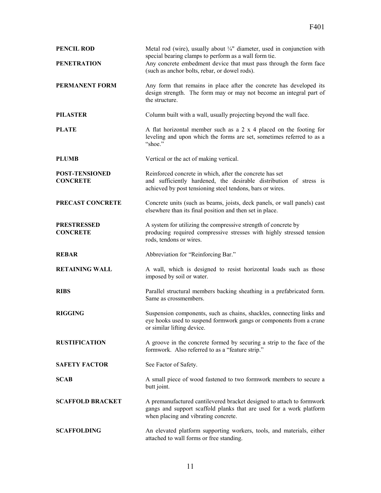| <b>PENCIL ROD</b><br><b>PENETRATION</b>  | Metal rod (wire), usually about $\frac{1}{4}$ " diameter, used in conjunction with<br>special bearing clamps to perform as a wall form tie.<br>Any concrete embedment device that must pass through the form face<br>(such as anchor bolts, rebar, or dowel rods). |
|------------------------------------------|--------------------------------------------------------------------------------------------------------------------------------------------------------------------------------------------------------------------------------------------------------------------|
| <b>PERMANENT FORM</b>                    | Any form that remains in place after the concrete has developed its<br>design strength. The form may or may not become an integral part of<br>the structure.                                                                                                       |
| <b>PILASTER</b>                          | Column built with a wall, usually projecting beyond the wall face.                                                                                                                                                                                                 |
| <b>PLATE</b>                             | A flat horizontal member such as a $2 \times 4$ placed on the footing for<br>leveling and upon which the forms are set, sometimes referred to as a<br>"shoe."                                                                                                      |
| <b>PLUMB</b>                             | Vertical or the act of making vertical.                                                                                                                                                                                                                            |
| <b>POST-TENSIONED</b><br><b>CONCRETE</b> | Reinforced concrete in which, after the concrete has set<br>and sufficiently hardened, the desirable distribution of stress is<br>achieved by post tensioning steel tendons, bars or wires.                                                                        |
| PRECAST CONCRETE                         | Concrete units (such as beams, joists, deck panels, or wall panels) cast<br>elsewhere than its final position and then set in place.                                                                                                                               |
| <b>PRESTRESSED</b><br><b>CONCRETE</b>    | A system for utilizing the compressive strength of concrete by<br>producing required compressive stresses with highly stressed tension<br>rods, tendons or wires.                                                                                                  |
| <b>REBAR</b>                             | Abbreviation for "Reinforcing Bar."                                                                                                                                                                                                                                |
| <b>RETAINING WALL</b>                    | A wall, which is designed to resist horizontal loads such as those<br>imposed by soil or water.                                                                                                                                                                    |
| <b>RIBS</b>                              | Parallel structural members backing sheathing in a prefabricated form.<br>Same as crossmembers.                                                                                                                                                                    |
| <b>RIGGING</b>                           | Suspension components, such as chains, shackles, connecting links and<br>eye hooks used to suspend formwork gangs or components from a crane<br>or similar lifting device.                                                                                         |
| <b>RUSTIFICATION</b>                     | A groove in the concrete formed by securing a strip to the face of the<br>formwork. Also referred to as a "feature strip."                                                                                                                                         |
| <b>SAFETY FACTOR</b>                     | See Factor of Safety.                                                                                                                                                                                                                                              |
| <b>SCAB</b>                              | A small piece of wood fastened to two formwork members to secure a<br>butt joint.                                                                                                                                                                                  |
| <b>SCAFFOLD BRACKET</b>                  | A premanufactured cantilevered bracket designed to attach to formwork<br>gangs and support scaffold planks that are used for a work platform<br>when placing and vibrating concrete.                                                                               |
| <b>SCAFFOLDING</b>                       | An elevated platform supporting workers, tools, and materials, either<br>attached to wall forms or free standing.                                                                                                                                                  |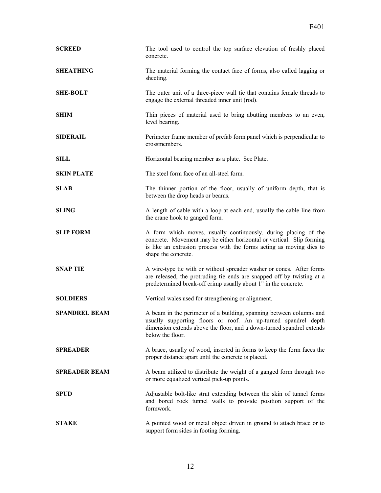| <b>SCREED</b>        | The tool used to control the top surface elevation of freshly placed<br>concrete.                                                                                                                                                       |
|----------------------|-----------------------------------------------------------------------------------------------------------------------------------------------------------------------------------------------------------------------------------------|
| <b>SHEATHING</b>     | The material forming the contact face of forms, also called lagging or<br>sheeting.                                                                                                                                                     |
| <b>SHE-BOLT</b>      | The outer unit of a three-piece wall tie that contains female threads to<br>engage the external threaded inner unit (rod).                                                                                                              |
| <b>SHIM</b>          | Thin pieces of material used to bring abutting members to an even,<br>level bearing.                                                                                                                                                    |
| <b>SIDERAIL</b>      | Perimeter frame member of prefab form panel which is perpendicular to<br>crossmembers.                                                                                                                                                  |
| <b>SILL</b>          | Horizontal bearing member as a plate. See Plate.                                                                                                                                                                                        |
| <b>SKIN PLATE</b>    | The steel form face of an all-steel form.                                                                                                                                                                                               |
| <b>SLAB</b>          | The thinner portion of the floor, usually of uniform depth, that is<br>between the drop heads or beams.                                                                                                                                 |
| <b>SLING</b>         | A length of cable with a loop at each end, usually the cable line from<br>the crane hook to ganged form.                                                                                                                                |
| <b>SLIP FORM</b>     | A form which moves, usually continuously, during placing of the<br>concrete. Movement may be either horizontal or vertical. Slip forming<br>is like an extrusion process with the forms acting as moving dies to<br>shape the concrete. |
| <b>SNAP TIE</b>      | A wire-type tie with or without spreader washer or cones. After forms<br>are released, the protruding tie ends are snapped off by twisting at a<br>predetermined break-off crimp usually about 1" in the concrete.                      |
| <b>SOLDIERS</b>      | Vertical wales used for strengthening or alignment.                                                                                                                                                                                     |
| <b>SPANDREL BEAM</b> | A beam in the perimeter of a building, spanning between columns and<br>usually supporting floors or roof. An up-turned spandrel depth<br>dimension extends above the floor, and a down-turned spandrel extends<br>below the floor.      |
| <b>SPREADER</b>      | A brace, usually of wood, inserted in forms to keep the form faces the<br>proper distance apart until the concrete is placed.                                                                                                           |
| <b>SPREADER BEAM</b> | A beam utilized to distribute the weight of a ganged form through two<br>or more equalized vertical pick-up points.                                                                                                                     |
| <b>SPUD</b>          | Adjustable bolt-like strut extending between the skin of tunnel forms<br>and bored rock tunnel walls to provide position support of the<br>formwork.                                                                                    |
| <b>STAKE</b>         | A pointed wood or metal object driven in ground to attach brace or to<br>support form sides in footing forming.                                                                                                                         |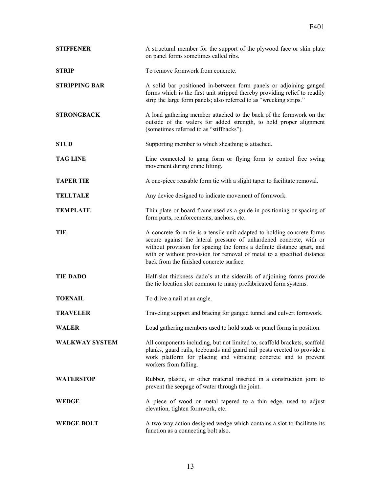| <b>STIFFENER</b>      | A structural member for the support of the plywood face or skin plate<br>on panel forms sometimes called ribs.                                                                                                                                                                                                                                 |
|-----------------------|------------------------------------------------------------------------------------------------------------------------------------------------------------------------------------------------------------------------------------------------------------------------------------------------------------------------------------------------|
| <b>STRIP</b>          | To remove formwork from concrete.                                                                                                                                                                                                                                                                                                              |
| <b>STRIPPING BAR</b>  | A solid bar positioned in-between form panels or adjoining ganged<br>forms which is the first unit stripped thereby providing relief to readily<br>strip the large form panels; also referred to as "wrecking strips."                                                                                                                         |
| <b>STRONGBACK</b>     | A load gathering member attached to the back of the formwork on the<br>outside of the walers for added strength, to hold proper alignment<br>(sometimes referred to as "stiffbacks").                                                                                                                                                          |
| <b>STUD</b>           | Supporting member to which sheathing is attached.                                                                                                                                                                                                                                                                                              |
| <b>TAG LINE</b>       | Line connected to gang form or flying form to control free swing<br>movement during crane lifting.                                                                                                                                                                                                                                             |
| <b>TAPER TIE</b>      | A one-piece reusable form tie with a slight taper to facilitate removal.                                                                                                                                                                                                                                                                       |
| <b>TELLTALE</b>       | Any device designed to indicate movement of formwork.                                                                                                                                                                                                                                                                                          |
| <b>TEMPLATE</b>       | Thin plate or board frame used as a guide in positioning or spacing of<br>form parts, reinforcements, anchors, etc.                                                                                                                                                                                                                            |
| TIE                   | A concrete form tie is a tensile unit adapted to holding concrete forms<br>secure against the lateral pressure of unhardened concrete, with or<br>without provision for spacing the forms a definite distance apart, and<br>with or without provision for removal of metal to a specified distance<br>back from the finished concrete surface. |
| <b>TIE DADO</b>       | Half-slot thickness dado's at the siderails of adjoining forms provide<br>the tie location slot common to many prefabricated form systems.                                                                                                                                                                                                     |
| <b>TOENAIL</b>        | To drive a nail at an angle.                                                                                                                                                                                                                                                                                                                   |
| <b>TRAVELER</b>       | Traveling support and bracing for ganged tunnel and culvert formwork.                                                                                                                                                                                                                                                                          |
| <b>WALER</b>          | Load gathering members used to hold studs or panel forms in position.                                                                                                                                                                                                                                                                          |
| <b>WALKWAY SYSTEM</b> | All components including, but not limited to, scaffold brackets, scaffold<br>planks, guard rails, toeboards and guard rail posts erected to provide a<br>work platform for placing and vibrating concrete and to prevent<br>workers from falling.                                                                                              |
| <b>WATERSTOP</b>      | Rubber, plastic, or other material inserted in a construction joint to<br>prevent the seepage of water through the joint.                                                                                                                                                                                                                      |
| <b>WEDGE</b>          | A piece of wood or metal tapered to a thin edge, used to adjust<br>elevation, tighten formwork, etc.                                                                                                                                                                                                                                           |
| <b>WEDGE BOLT</b>     | A two-way action designed wedge which contains a slot to facilitate its<br>function as a connecting bolt also.                                                                                                                                                                                                                                 |